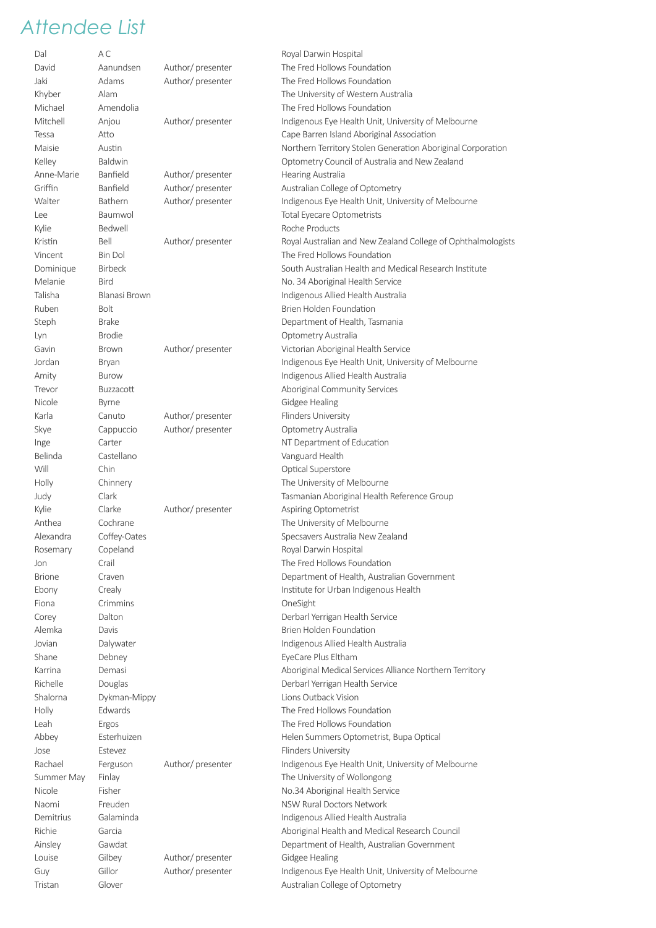| Dal           | АC             |                  | Royal Darwin Hospital                                        |
|---------------|----------------|------------------|--------------------------------------------------------------|
| David         | Aanundsen      | Author/presenter | The Fred Hollows Foundation                                  |
| Jaki          | Adams          | Author/presenter | The Fred Hollows Foundation                                  |
| Khyber        | Alam           |                  | The University of Western Australia                          |
| Michael       | Amendolia      |                  | The Fred Hollows Foundation                                  |
| Mitchell      | Anjou          | Author/presenter | Indigenous Eye Health Unit, University of Melbourne          |
| Tessa         | Atto           |                  | Cape Barren Island Aboriginal Association                    |
| Maisie        | Austin         |                  | Northern Territory Stolen Generation Aboriginal Corporation  |
| Kelley        | Baldwin        |                  | Optometry Council of Australia and New Zealand               |
| Anne-Marie    | Banfield       | Author/presenter | Hearing Australia                                            |
| Griffin       | Banfield       | Author/presenter | Australian College of Optometry                              |
| Walter        | Bathern        | Author/presenter | Indigenous Eye Health Unit, University of Melbourne          |
| Lee           | Baumwol        |                  | Total Eyecare Optometrists                                   |
| Kylie         | Bedwell        |                  | Roche Products                                               |
| Kristin       | Bell           | Author/presenter | Royal Australian and New Zealand College of Ophthalmologists |
| Vincent       | <b>Bin Dol</b> |                  | The Fred Hollows Foundation                                  |
|               |                |                  | South Australian Health and Medical Research Institute       |
| Dominique     | <b>Birbeck</b> |                  |                                                              |
| Melanie       | <b>Bird</b>    |                  | No. 34 Aboriginal Health Service                             |
| Talisha       | Blanasi Brown  |                  | Indigenous Allied Health Australia                           |
| Ruben         | <b>Bolt</b>    |                  | Brien Holden Foundation                                      |
| Steph         | <b>Brake</b>   |                  | Department of Health, Tasmania                               |
| Lyn           | <b>Brodie</b>  |                  | Optometry Australia                                          |
| Gavin         | <b>Brown</b>   | Author/presenter | Victorian Aboriginal Health Service                          |
| Jordan        | Bryan          |                  | Indigenous Eye Health Unit, University of Melbourne          |
| Amity         | <b>Burow</b>   |                  | Indigenous Allied Health Australia                           |
| Trevor        | Buzzacott      |                  | Aboriginal Community Services                                |
| Nicole        | Byrne          |                  | Gidgee Healing                                               |
| Karla         | Canuto         | Author/presenter | Flinders University                                          |
| Skye          | Cappuccio      | Author/presenter | Optometry Australia                                          |
| Inge          | Carter         |                  | NT Department of Education                                   |
| Belinda       | Castellano     |                  | Vanguard Health                                              |
| Will          | Chin           |                  | Optical Superstore                                           |
| Holly         | Chinnery       |                  | The University of Melbourne                                  |
| Judy          | Clark          |                  | Tasmanian Aboriginal Health Reference Group                  |
| Kylie         | Clarke         | Author/presenter | Aspiring Optometrist                                         |
| Anthea        | Cochrane       |                  | The University of Melbourne                                  |
| Alexandra     | Coffey-Oates   |                  | Specsavers Australia New Zealand                             |
| Rosemary      | Copeland       |                  | Royal Darwin Hospital                                        |
| Jon           | Crail          |                  | The Fred Hollows Foundation                                  |
| <b>Brione</b> | Craven         |                  | Department of Health, Australian Government                  |
|               |                |                  |                                                              |
| Ebony         | Crealy         |                  | Institute for Urban Indigenous Health                        |
| Fiona         | Crimmins       |                  | OneSight                                                     |
| Corey         | Dalton         |                  | Derbarl Yerrigan Health Service                              |
| Alemka        | Davis          |                  | Brien Holden Foundation                                      |
| Jovian        | Dalywater      |                  | Indigenous Allied Health Australia                           |
| Shane         | Debney         |                  | EyeCare Plus Eltham                                          |
| Karrina       | Demasi         |                  | Aboriginal Medical Services Alliance Northern Territory      |
| Richelle      | Douglas        |                  | Derbarl Yerrigan Health Service                              |
| Shalorna      | Dykman-Mippy   |                  | Lions Outback Vision                                         |
| Holly         | Edwards        |                  | The Fred Hollows Foundation                                  |
| Leah          | Ergos          |                  | The Fred Hollows Foundation                                  |
| Abbey         | Esterhuizen    |                  | Helen Summers Optometrist, Bupa Optical                      |
| Jose          | Estevez        |                  | Flinders University                                          |
| Rachael       | Ferguson       | Author/presenter | Indigenous Eye Health Unit, University of Melbourne          |
| Summer May    | Finlay         |                  | The University of Wollongong                                 |
| Nicole        | Fisher         |                  | No.34 Aboriginal Health Service                              |
| Naomi         | Freuden        |                  | NSW Rural Doctors Network                                    |
| Demitrius     | Galaminda      |                  | Indigenous Allied Health Australia                           |
| Richie        | Garcia         |                  | Aboriginal Health and Medical Research Council               |
| Ainsley       | Gawdat         |                  | Department of Health, Australian Government                  |
| Louise        | Gilbey         | Author/presenter | Gidgee Healing                                               |
| Guy           | Gillor         | Author/presenter | Indigenous Eye Health Unit, University of Melbourne          |
| Tristan       | Glover         |                  | Australian College of Optometry                              |
|               |                |                  |                                                              |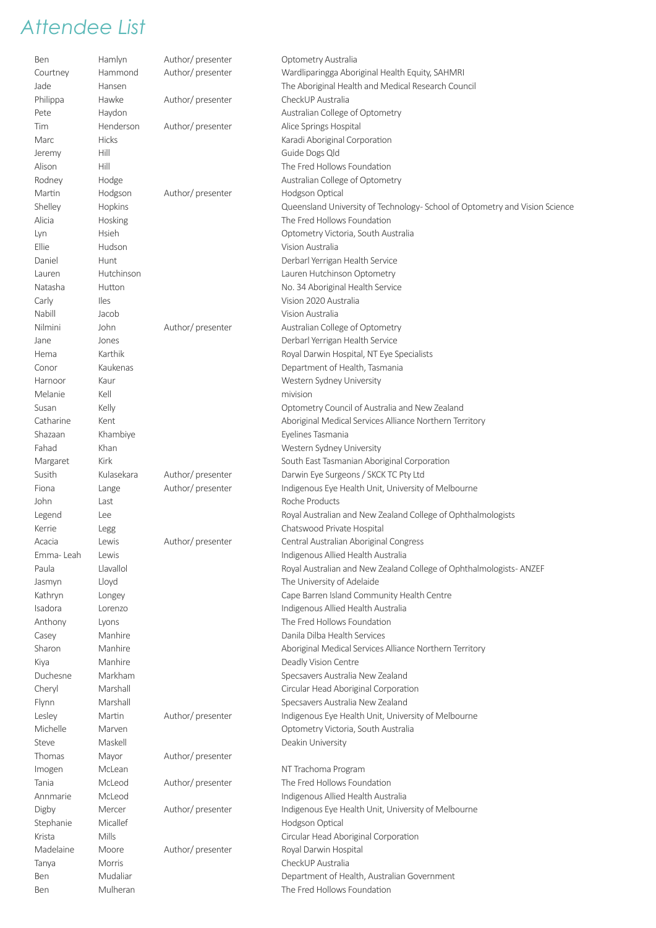| Ben       | Hamlyn       | Author/presenter  | Optometry Australia                                                        |
|-----------|--------------|-------------------|----------------------------------------------------------------------------|
| Courtney  | Hammond      | Author/presenter  | Wardliparingga Aboriginal Health Equity, SAHMRI                            |
| Jade      | Hansen       |                   | The Aboriginal Health and Medical Research Council                         |
| Philippa  | Hawke        | Author/presenter  | CheckUP Australia                                                          |
| Pete      | Haydon       |                   | Australian College of Optometry                                            |
| Tim       | Henderson    | Author/presenter  | Alice Springs Hospital                                                     |
| Marc      | <b>Hicks</b> |                   | Karadi Aboriginal Corporation                                              |
| Jeremy    | Hill         |                   | Guide Dogs Qld                                                             |
| Alison    | Hill         |                   | The Fred Hollows Foundation                                                |
| Rodney    | Hodge        |                   | Australian College of Optometry                                            |
| Martin    | Hodgson      | Author/presenter  | Hodgson Optical                                                            |
| Shelley   | Hopkins      |                   | Queensland University of Technology-School of Optometry and Vision Science |
| Alicia    |              |                   | The Fred Hollows Foundation                                                |
|           | Hosking      |                   |                                                                            |
| Lyn       | Hsieh        |                   | Optometry Victoria, South Australia                                        |
| Ellie     | Hudson       |                   | Vision Australia                                                           |
| Daniel    | Hunt         |                   | Derbarl Yerrigan Health Service                                            |
| Lauren    | Hutchinson   |                   | Lauren Hutchinson Optometry                                                |
| Natasha   | Hutton       |                   | No. 34 Aboriginal Health Service                                           |
| Carly     | Iles         |                   | Vision 2020 Australia                                                      |
| Nabill    | Jacob        |                   | Vision Australia                                                           |
| Nilmini   | John         | Author/presenter  | Australian College of Optometry                                            |
| Jane      | Jones        |                   | Derbarl Yerrigan Health Service                                            |
| Hema      | Karthik      |                   | Royal Darwin Hospital, NT Eye Specialists                                  |
| Conor     | Kaukenas     |                   | Department of Health, Tasmania                                             |
| Harnoor   | Kaur         |                   | Western Sydney University                                                  |
| Melanie   | Kell         |                   | mivision                                                                   |
| Susan     | Kelly        |                   | Optometry Council of Australia and New Zealand                             |
| Catharine | Kent         |                   | Aboriginal Medical Services Alliance Northern Territory                    |
| Shazaan   | Khambiye     |                   | Eyelines Tasmania                                                          |
| Fahad     | Khan         |                   | Western Sydney University                                                  |
| Margaret  | Kirk         |                   | South East Tasmanian Aboriginal Corporation                                |
| Susith    | Kulasekara   | Author/presenter  | Darwin Eye Surgeons / SKCK TC Pty Ltd                                      |
| Fiona     | Lange        | Author/presenter  | Indigenous Eye Health Unit, University of Melbourne                        |
| John      | Last         |                   | Roche Products                                                             |
|           |              |                   |                                                                            |
| Legend    | Lee          |                   | Royal Australian and New Zealand College of Ophthalmologists               |
| Kerrie    | Legg         |                   | Chatswood Private Hospital                                                 |
| Acacia    | Lewis        | Author/presenter  | Central Australian Aboriginal Congress                                     |
| Emma-Leah | Lewis        |                   | Indigenous Allied Health Australia                                         |
| Paula     | Llavallol    |                   | Royal Australian and New Zealand College of Ophthalmologists-ANZEF         |
| Jasmyn    | Lloyd        |                   | The University of Adelaide                                                 |
| Kathryn   | Longey       |                   | Cape Barren Island Community Health Centre                                 |
| Isadora   | Lorenzo      |                   | Indigenous Allied Health Australia                                         |
| Anthony   | Lyons        |                   | The Fred Hollows Foundation                                                |
| Casey     | Manhire      |                   | Danila Dilba Health Services                                               |
| Sharon    | Manhire      |                   | Aboriginal Medical Services Alliance Northern Territory                    |
| Kiya      | Manhire      |                   | Deadly Vision Centre                                                       |
| Duchesne  | Markham      |                   | Specsavers Australia New Zealand                                           |
| Cheryl    | Marshall     |                   | Circular Head Aboriginal Corporation                                       |
| Flynn     | Marshall     |                   | Specsavers Australia New Zealand                                           |
| Lesley    | Martin       | Author/ presenter | Indigenous Eye Health Unit, University of Melbourne                        |
| Michelle  | Marven       |                   | Optometry Victoria, South Australia                                        |
| Steve     | Maskell      |                   | Deakin University                                                          |
| Thomas    | Mayor        | Author/presenter  |                                                                            |
| Imogen    | McLean       |                   | NT Trachoma Program                                                        |
| Tania     | McLeod       | Author/presenter  | The Fred Hollows Foundation                                                |
| Annmarie  | McLeod       |                   | Indigenous Allied Health Australia                                         |
| Digby     | Mercer       | Author/presenter  | Indigenous Eye Health Unit, University of Melbourne                        |
| Stephanie | Micallef     |                   | Hodgson Optical                                                            |
|           | Mills        |                   |                                                                            |
| Krista    |              |                   | Circular Head Aboriginal Corporation                                       |
| Madelaine | Moore        | Author/presenter  | Royal Darwin Hospital                                                      |
| Tanya     | Morris       |                   | CheckUP Australia                                                          |
| Ben       | Mudaliar     |                   | Department of Health, Australian Government                                |
| Ben       | Mulheran     |                   | The Fred Hollows Foundation                                                |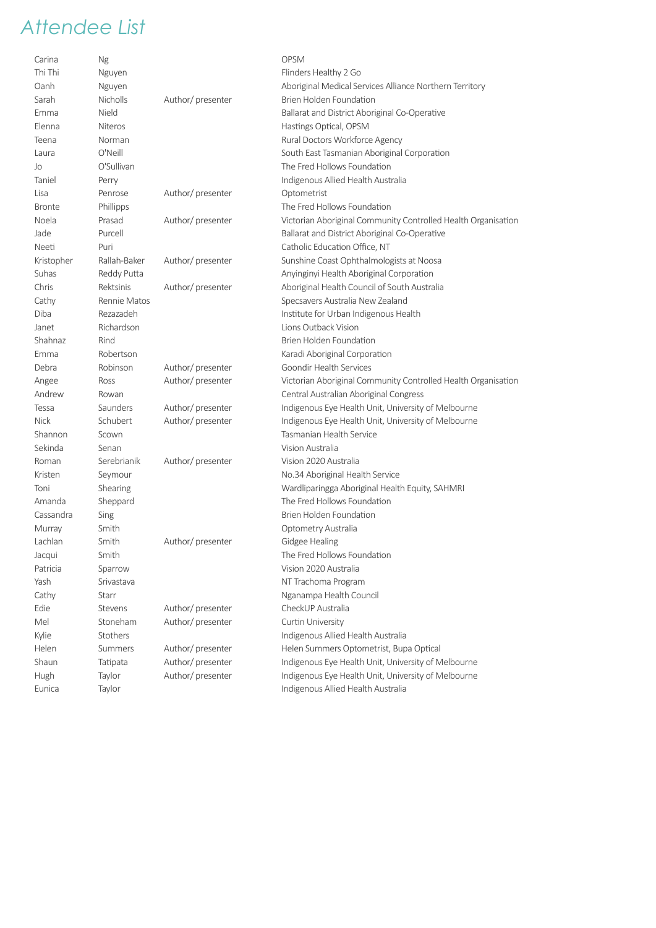| Carina        | Ng              |                   | <b>OPSM</b>                                                   |
|---------------|-----------------|-------------------|---------------------------------------------------------------|
| Thi Thi       | Nguyen          |                   | Flinders Healthy 2 Go                                         |
| Oanh          | Nguyen          |                   | Aboriginal Medical Services Alliance Northern Territory       |
| Sarah         | <b>Nicholls</b> | Author/presenter  | Brien Holden Foundation                                       |
| Emma          | Nield           |                   | Ballarat and District Aboriginal Co-Operative                 |
| Elenna        | <b>Niteros</b>  |                   | Hastings Optical, OPSM                                        |
| Teena         | Norman          |                   | Rural Doctors Workforce Agency                                |
| Laura         | O'Neill         |                   | South East Tasmanian Aboriginal Corporation                   |
| Jo            | O'Sullivan      |                   | The Fred Hollows Foundation                                   |
| Taniel        | Perry           |                   | Indigenous Allied Health Australia                            |
| Lisa          | Penrose         | Author/presenter  | Optometrist                                                   |
| <b>Bronte</b> | Phillipps       |                   | The Fred Hollows Foundation                                   |
| Noela         | Prasad          | Author/presenter  | Victorian Aboriginal Community Controlled Health Organisation |
| Jade          | Purcell         |                   | Ballarat and District Aboriginal Co-Operative                 |
| Neeti         | Puri            |                   | Catholic Education Office, NT                                 |
| Kristopher    | Rallah-Baker    | Author/presenter  | Sunshine Coast Ophthalmologists at Noosa                      |
| Suhas         | Reddy Putta     |                   | Anyinginyi Health Aboriginal Corporation                      |
| Chris         | Rektsinis       | Author/presenter  | Aboriginal Health Council of South Australia                  |
| Cathy         | Rennie Matos    |                   | Specsavers Australia New Zealand                              |
| Diba          | Rezazadeh       |                   | Institute for Urban Indigenous Health                         |
| Janet         | Richardson      |                   | Lions Outback Vision                                          |
| Shahnaz       | Rind            |                   | Brien Holden Foundation                                       |
| Emma          | Robertson       |                   | Karadi Aboriginal Corporation                                 |
| Debra         | Robinson        | Author/presenter  | Goondir Health Services                                       |
| Angee         | Ross            | Author/presenter  | Victorian Aboriginal Community Controlled Health Organisation |
| Andrew        | Rowan           |                   | Central Australian Aboriginal Congress                        |
| Tessa         | Saunders        | Author/presenter  | Indigenous Eye Health Unit, University of Melbourne           |
| <b>Nick</b>   | Schubert        | Author/presenter  | Indigenous Eye Health Unit, University of Melbourne           |
| Shannon       | Scown           |                   | Tasmanian Health Service                                      |
| Sekinda       | Senan           |                   | Vision Australia                                              |
| Roman         | Serebrianik     | Author/presenter  | Vision 2020 Australia                                         |
| Kristen       | Seymour         |                   | No.34 Aboriginal Health Service                               |
| Toni          | Shearing        |                   | Wardliparingga Aboriginal Health Equity, SAHMRI               |
| Amanda        | Sheppard        |                   | The Fred Hollows Foundation                                   |
| Cassandra     |                 |                   | Brien Holden Foundation                                       |
| Murray        | Sing<br>Smith   |                   |                                                               |
|               |                 |                   | Optometry Australia                                           |
| Lachlan       | Smith           | Author/presenter  | Gidgee Healing<br>The Fred Hollows Foundation                 |
| Jacqui        | Smith           |                   |                                                               |
| Patricia      | Sparrow         |                   | Vision 2020 Australia                                         |
| Yash          | Srivastava      |                   | NT Trachoma Program                                           |
| Cathy         | Starr           |                   | Nganampa Health Council                                       |
| Edie          | Stevens         | Author/presenter  | CheckUP Australia                                             |
| Mel           | Stoneham        | Author/presenter  | Curtin University                                             |
| Kylie         | Stothers        |                   | Indigenous Allied Health Australia                            |
| Helen         | <b>Summers</b>  | Author/presenter  | Helen Summers Optometrist, Bupa Optical                       |
| Shaun         | Tatipata        | Author/presenter  | Indigenous Eye Health Unit, University of Melbourne           |
| Hugh          | Taylor          | Author/ presenter | Indigenous Eye Health Unit, University of Melbourne           |
| Eunica        | Taylor          |                   | Indigenous Allied Health Australia                            |